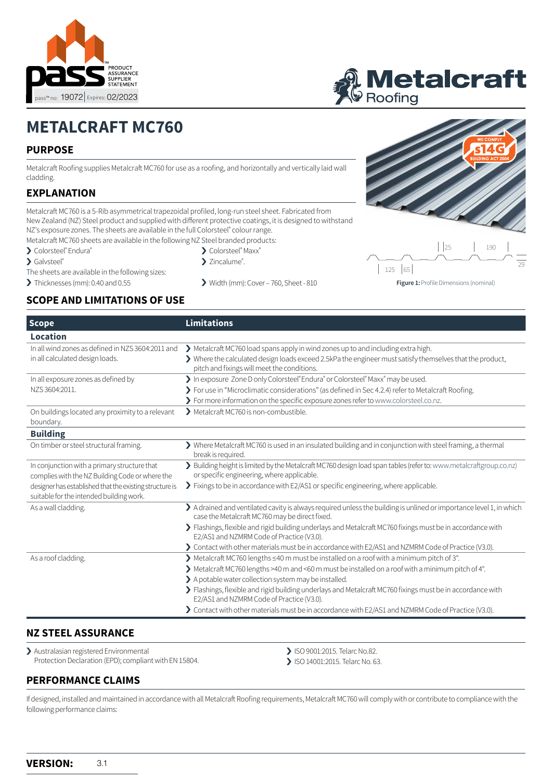



# **METALCRAFT MC760**

# **PURPOSE**

Metalcraft Roofing supplies Metalcraft MC760 for use as a roofing, and horizontally and vertically laid wall cladding.

# **EXPLANATION**

Metalcraft MC760 is a 5-Rib asymmetrical trapezoidal profiled, long-run steel sheet. Fabricated from New Zealand (NZ) Steel product and supplied with different protective coatings, it is designed to withstand NZ's exposure zones. The sheets are available in the full Colorsteel® colour range. Metalcraft MC760 sheets are available in the following NZ Steel branded products:

- > Colorsteel® Endura®
- > Galvsteel®
- 
- 
- 
- > Colorsteel® Maxx®
- > Zincalume<sup>®</sup>.
- The sheets are available in the following sizes:
- 
- 
- > Thicknesses (mm): [0](http://www.colorsteel.co.nz).40 and 0.55 > Width (mm): Cover 760, Sheet 810



**Figure 1:** Profile Dimensions (nominal)

# **SCOPE AND LIMITATIONS OF USE**

| <b>Scope</b>                                                                                        | <b>Limitations</b>                                                                                                                                                                                                                                                            |  |  |
|-----------------------------------------------------------------------------------------------------|-------------------------------------------------------------------------------------------------------------------------------------------------------------------------------------------------------------------------------------------------------------------------------|--|--|
| Location                                                                                            |                                                                                                                                                                                                                                                                               |  |  |
| In all wind zones as defined in NZS 3604:2011 and<br>in all calculated design loads.                | > Metalcraft MC760 load spans apply in wind zones up to and including extra high.<br>> Where the calculated design loads exceed 2.5kPa the engineer must satisfy themselves that the product,<br>pitch and fixings will meet the conditions.                                  |  |  |
| In all exposure zones as defined by<br>NZS 3604:2011.                                               | > In exposure Zone D only Colorsteel® Endura® or Colorsteel® Maxx® may be used.<br>> For use in "Microclimatic considerations" (as defined in Sec 4.2.4) refer to Metalcraft Roofing.<br>> For more information on the specific exposure zones refer to www.colorsteel.co.nz. |  |  |
| On buildings located any proximity to a relevant<br>boundary.                                       | Metalcraft MC760 is non-combustible.                                                                                                                                                                                                                                          |  |  |
| <b>Building</b>                                                                                     |                                                                                                                                                                                                                                                                               |  |  |
| On timber or steel structural framing.                                                              | > Where Metalcraft MC760 is used in an insulated building and in conjunction with steel framing, a thermal<br>break is required.                                                                                                                                              |  |  |
| In conjunction with a primary structure that<br>complies with the NZ Building Code or where the     | > Building height is limited by the Metalcraft MC760 design load span tables (refer to: www.metalcraftgroup.co.nz)<br>or specific engineering, where applicable.                                                                                                              |  |  |
| designer has established that the existing structure is<br>suitable for the intended building work. | > Fixings to be in accordance with E2/AS1 or specific engineering, where applicable.                                                                                                                                                                                          |  |  |
| As a wall cladding.                                                                                 | > A drained and ventilated cavity is always required unless the building is unlined or importance level 1, in which<br>case the Metalcraft MC760 may be direct fixed.                                                                                                         |  |  |
|                                                                                                     | > Flashings, flexible and rigid building underlays and Metalcraft MC760 fixings must be in accordance with<br>E2/AS1 and NZMRM Code of Practice (V3.0).                                                                                                                       |  |  |
|                                                                                                     | > Contact with other materials must be in accordance with E2/AS1 and NZMRM Code of Practice (V3.0).                                                                                                                                                                           |  |  |
| As a roof cladding.                                                                                 | ▶ Metalcraft MC760 lengths ≤40 m must be installed on a roof with a minimum pitch of 3°.                                                                                                                                                                                      |  |  |
|                                                                                                     | > Metalcraft MC760 lengths >40 m and <60 m must be installed on a roof with a minimum pitch of 4°.                                                                                                                                                                            |  |  |
|                                                                                                     | > A potable water collection system may be installed.                                                                                                                                                                                                                         |  |  |
|                                                                                                     | > Flashings, flexible and rigid building underlays and Metalcraft MC760 fixings must be in accordance with<br>E2/AS1 and NZMRM Code of Practice (V3.0).                                                                                                                       |  |  |
|                                                                                                     | > Contact with other materials must be in accordance with E2/AS1 and NZMRM Code of Practice (V3.0).                                                                                                                                                                           |  |  |

# **NZ STEEL ASSURANCE**

> Australasian registered Environmental Protection Declaration (EPD); compliant with EN 15804.

- > ISO 9001:2015. Telarc No.82.
- > ISO 14001:2015. Telarc No. 63.

# **PERFORMANCE CLAIMS**

If designed, installed and maintained in accordance with all Metalcraft Roofing requirements, Metalcraft MC760 will comply with or contribute to compliance with the following performance claims: